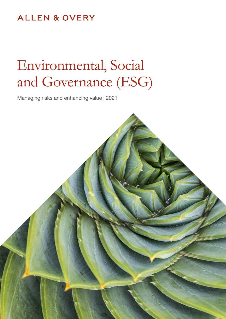## **ALLEN & OVERY**

# Environmental, Social and Governance (ESG)

Managing risks and enhancing value | 2021

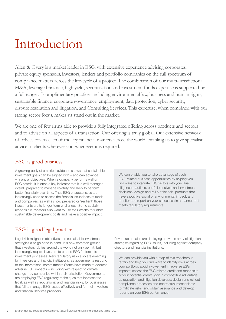# Introduction

Allen & Overy is a market leader in ESG, with extensive experience advising corporates, private equity sponsors, investors, lenders and portfolio companies on the full spectrum of compliance matters across the life-cycle of a project. The combination of our multi-jurisdictional M&A, leveraged finance, high yield, securitisation and investment funds expertise is supported by a full range of complimentary practices including environmental law, business and human rights, sustainable finance, corporate governance, employment, data protection, cyber security, dispute resolution and litigation, and Consulting Services. This expertise, when combined with our strong sector focus, makes us stand out in the market.

We are one of few firms able to provide a fully integrated offering across products and sectors and to advise on all aspects of a transaction. Our offering is truly global. Our extensive network of offices covers each of the key financial markets across the world, enabling us to give specialist advice to clients wherever and whenever it is required.

### ESG is good business

A growing body of empirical evidence shows that sustainable investment goals can be aligned with – and can advance – financial objectives. When a company performs well on ESG criteria, it is often a key indicator that it is well managed overall, prepared to manage volatility and likely to perform better financially over time. Thus ESG characteristics are increasingly used to assess the financial soundness of funds and companies, as well as how prepared or 'resilient' those investments are to longer-term challenges. Some socially responsible investors also want to use their wealth to further sustainable development goals and make a positive impact.

## ESG is good legal practice

Legal risk mitigation objectives and sustainable investment strategies also go hand in hand. It is now common ground that investors' duties around the world not only permit, but increasingly require investors to embed ESG factors into investment processes. New regulatory risks also are emerging for investors and financial institutions, as governments respond to the international commitments States have made to address adverse ESG impacts – including with respect to climate change – by companies within their jurisdiction. Governments are employing ESG regulatory techniques that increase the legal, as well as reputational and financial risks, for businesses that fail to manage ESG issues effectively and for their investors and financial services providers.

We can enable you to take advantage of such ESG-related business opportunities by helping you find ways to integrate ESG factors into your due diligence practices, portfolio analysis and investment decisions; design and roll out financial products that have a positive social or environmental impact; and monitor and report on your successes in a manner that meets regulatory requirements.

Private actors also are deploying a diverse array of litigation strategies regarding ESG issues, including against company directors and financial institutions.

We can provide you with a map of this treacherous terrain and help you find ways to identify risks across your portfolio; avoid involvement in adverse ESG impacts; assess the ESG related credit and other risks of your potential clients; gain a competitive advantage as regulation and litigation develops; design and roll out compliance processes and contractual mechanisms to mitigate risks; and obtain assurance and develop reports on your ESG performance.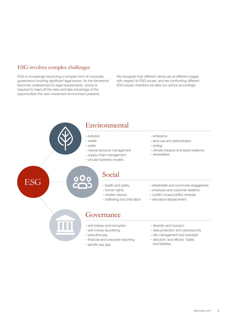### ESG involves complex challenges

ESG is increasingly becoming a complex form of corporate governance involving significant legal issues. As the framework becomes underpinned by legal requirements, advice is required to head off the risks and take advantage of the opportunities this new investment environment presents.

We recognize that different clients are at different stages with respect to ESG issues, and are confronting different ESG issues; therefore we tailor our advice accordingly.

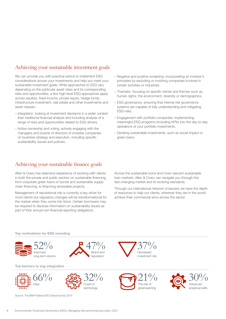### Achieving your sustainable investment goals

We can provide you with practical advice to implement ESG considerations across your investments and help you meet your sustainable investment goals. While approaches to ESG vary depending on the particular asset class and its corresponding risks and opportunities, a few high-level ESG approaches apply across equities, fixed income, private equity, hedge funds, infrastructure investment, real estate and other investments and asset classes:

- Integration: looking at investment decisions in a wider context than traditional financial analysis and including analysis of a range of risks and opportunities related to ESG drivers.
- Active ownership and voting: actively engaging with the managers and boards of directors of investee companies on business strategy and execution, including specific sustainability issues and policies.
- Negative and positive screening: incorporating an investor's principles by excluding or involving companies involved in certain activities or industries.
- Thematic: focusing on specific trends and themes such as human rights, the environment, diversity or demographics.
- ESG governance: ensuring that internal risk governance systems are capable of fully understanding and mitigating ESG risks.
- Engagement with portfolio companies: implementing meaningful ESG programs (including KPIs) into the day-to-day operations of your portfolio investments.
- Devising sustainable investments, such as social impact or green loans.

### Achieving your sustainable finance goals

Allen & Overy has extensive experience of working with clients in both the private and public sectors on sustainable financing, from corporate green loans or bonds and sustainable supply chain financing, to financing renewable projects.

Management of reputational risk is currently a key driver for most clients but regulatory changes will be transformational for the market when they come into force. Certain borrowers may be required to disclose information on sustainability issues as part of their annual non-financial reporting obligations.

Across the sustainable bond and more nascent sustainable loan markets, Allen & Overy can navigate you through this fast-changing market and its evolving standards.

Through our international network of lawyers we have the depth of resources to help our clients, wherever they are in the world, achieve their commercial aims across the sector.

#### Top motivations for ESG investing



47% Brand and reputation

32%

Costs of technology

#### Top barriers to esg integration



Source: The BNP Paribas ESG Global Survey 2019





37% Decreased investment risk

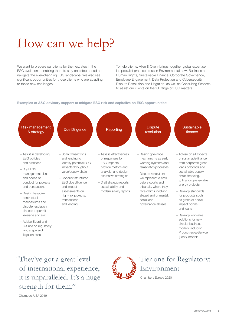# How can we help?

We want to prepare our clients for the next step in the ESG evolution – enabling them to stay one step ahead and navigate the ever-changing ESG landscape. We also see significant opportunities for those clients who are adapting to these new challenges.

To help clients, Allen & Overy brings together global expertise in specialist practice areas in Environmental Law, Business and Human Rights, Sustainable Finance, Corporate Governance, Employee Engagement, Data Protection and Cybersecurity, Dispute Resolution and Litigation, as well as Consulting Services to assist our clients on the full range of ESG matters.

#### Examples of A&O advisory support to mitigate ESG risk and capitalize on ESG opportunities:



"They've got a great level of international experience, it is unparalleled. It's a huge strength for them."

## Tier one for Regulatory: Environment

Chambers Europe 2020

Chambers USA 2019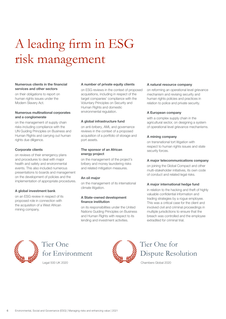# A leading firm in ESG risk management

#### Numerous clients in the financial services and other sectors

on their obligations to report on human rights issues under the Modern Slavery Act.

#### Numerous multinational corporates and a conglomerate

on the management of supply chain risks including compliance with the UN Guiding Principles on Business and Human Rights and carrying out human rights due diligence.

#### Corporate clients

on reviews of their emergency plans and procedures to deal with major health and safety and environmental events. This also included numerous presentations to boards and management on the development of policies and the implementation of appropriate procedures.

#### A global investment bank

on an ESG review in respect of its proposed role in connection with the acquisition of a West African mining company.

#### A number of private equity clients

on ESG reviews in the context of proposed acquisitions, including in respect of the target companies' compliance with the Voluntary Principles on Security and Human Rights and domestic environmental regulation.

#### A global infrastructure fund

on anti-bribery, AML and governance reviews in the context of a proposed acquisition of a portfolio of storage and port assets.

#### The sponsor of an African energy project

on the management of the project's bribery and money laundering risks and related mitigation measures.

#### An oil major

on the management of its international climate litigation.

#### A State-owned development finance institution

on its responsibilities under the United Nations Guiding Principles on Business and Human Rights with respect to its lending and investment activities.

#### A natural resource company

on reforming an operational level grievance mechanism and revising security and human rights policies and practices in relation to police and private security.

#### A European company

with a complex supply chain in the agricultural sector, on designing a system of operational level grievance mechanisms.

#### A mining company

on transnational tort litigation with respect to human rights issues and state security forces.

#### A major telecommunications company

on joining the Global Compact and other multi-stakeholder initiatives, its own code of conduct and related legal risks.

#### A major international hedge fund

in relation to the hacking and theft of highly valuable confidential information and trading strategies by a rogue employee. This was a critical case for the client and involved civil and criminal proceedings in multiple jurisdictions to ensure that the breach was controlled and the employee extradited for criminal trial.



# Tier One for Environment

Legal 500 UK 2020



## Tier One for Dispute Resolution

Chambers Global 2020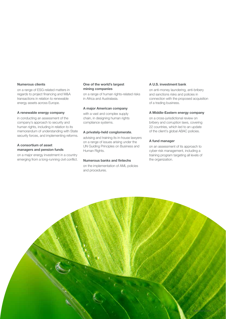#### Numerous clients

on a range of ESG-related matters in regards to project financing and M&A transactions in relation to renewable energy assets across Europe.

#### A renewable energy company

in conducting an assessment of the company's approach to security and human rights, including in relation to its memorandum of understanding with State security forces, and implementing reforms.

#### A consortium of asset managers and pension funds

on a major energy investment in a country emerging from a long-running civil conflict.

#### One of the world's largest mining companies

on a range of human rights-related risks in Africa and Australasia.

#### A major American company

with a vast and complex supply chain, in designing human rights compliance systems.

#### A privately-held conglomerate,

advising and training its in-house lawyers on a range of issues arising under the UN Guiding Principles on Business and Human Rights.

#### Numerous banks and fintechs

on the implementation of AML policies and procedures.

#### A U.S. investment bank

on anti-money laundering, anti-bribery and sanctions risks and policies in connection with the proposed acquisition of a trading business.

#### A Middle-Eastern energy company

on a cross-jurisdictional review on bribery and corruption laws, covering 22 countries, which led to an update of the client's global ABAC policies.

#### A fund manager

on an assessment of its approach to cyber-risk management, including a training program targeting all levels of the organization.

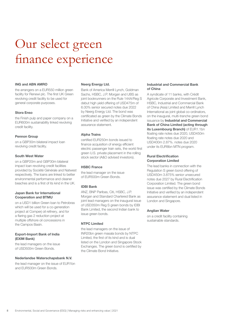# Our select green finance experience

#### ING and ABN AMRO

the arrangers on a EUR550 million green facility for Renewi plc. The first UK Green revolving credit facility to be used for general corporate purposes.

#### Stora Enso

the Finish pulp and paper company on a EUR600m sustainability linked revolving credit facility.

#### Pennon Group

on a GBP30m bilateral impact loan revolving credit facility.

#### South West Water

on a GBP20m and GBP30m bilateral impact loan revolving credit facilities provided by Société Générale and Natwest respectively. The loans are linked to better environmental performance and cleaner beaches and is a first of its kind in the UK.

#### Japan Bank for International Cooperation and BTMU

on a USD1 billion Green loan to Petrobras which will be used for a co-generation project at Comperj oil refinery, and for a flaring gas 2 reduction project at multiple offshore oil concessions in the Campos Basin.

#### Export-Import Bank of India (EXIM Bank)

the lead managers on the issue of USD500m Green Bonds.

#### Nederlandse Waterschapsbank N.V.

the lead manager on the issue of EUR1bn and EUR500m Green Bonds.

#### Neerg Energy Ltd.

Bank of America Merrill Lynch, Goldman Sachs, HSBC, J.P. Morgan and UBS as joint bookrunners on the Rule 144A/Reg S debut high yield offering of USD475m of 6.00% senior secured notes due 2022 by Neerg Energy Ltd. The bond was certificated as green by the Climate Bonds Initiative and verified by an independent assurance statement.

#### Alpha Trains

certified EUR250m bonds issued to finance acquisition of energy efficient electric passenger train sets, the world first green U.S. private placement in the rolling stock sector (A&O advised investors).

#### HSBC France

the lead manager on the issue of EUR500m Green Bonds.

#### IDBI Bank

ANZ, BNP Paribas, Citi, HSBC, J.P. Morgan and Standard Chartered Bank as joint lead managers on the inaugural issue of USD350m Reg S green bonds by IDBI Bank Limited, the second Indian bank to issue green bonds.

#### NTPC Limited

the lead managers on the issue of INR20bn green masala bonds by NTPC Limited, the first of its kind and is dual listed on the London and Singapore Stock Exchanges. The green bond is certified by the Climate Bond Initiative.

#### Industrial and Commercial Bank of China

A syndicate of 11 banks, with Crédit Agricole Corporate and Investment Bank, HSBC, Industrial and Commercial Bank of China (Asia) Limited and Merrill Lynch International as joint global co-ordinators, on the inaugural, multi-tranche green bond issuance by Industrial and Commercial Bank of China Limited (acting through its Luxembourg Branch) of EUR1.1bn floating rate notes due 2020, USD450m floating rate notes due 2020 and USD400m 2.87%. notes due 2020 under its EUR8bn MTN program.

#### Rural Electrification Corporation Limited

The lead banks in connection with the Regulation S green bond offering of USD450m 3.875% senior unsecured notes due 2027 by Rural Electrification Corporation Limited. The green bond issue was certified by the Climate Bonds Initiative and verified by an independent assurance statement and dual listed in London and Singapore.

#### Anglian Water

on a credit facility containing sustainable standards.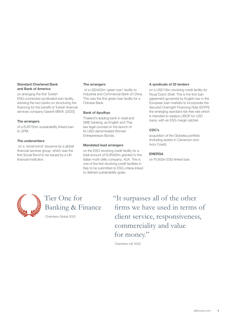#### Standard Chartered Bank and Bank of America

on arranging the first Turkish ESG-connected syndicated loan facility, advising the two banks on structuring the financing for the benefit of Turkish financial services company Garanti BBVA. [\[2020](https://iclg.com/ibr/articles/13268-allen-and-overy-directs-first-turkish-esg-loan)]

#### The arrangers

of a EUR750m sustainability linked loan to UPM.

#### The underwriters

 on a 'social bond' issuance by a global financial services group, which was the first Social Bond to be issued by a UK financial institution.

#### The arrangers

 of a USD400m 'green loan' facility to Industrial and Commercial Bank of China. This was the first green loan facility for a Chinese Bank.

#### Bank of Ayudhya

Thailand's leading bank in retail and SME banking, as English and Thai law legal counsel on the launch of its USD-denominated Women Entrepreneurs Bonds.

#### Mandated lead arrangers

on the ESG revolving credit facility for a total amount of EUR400m granted to the Italian multi-utility company, A2A. This is one of the first revolving credit facilities in Italy to be submitted to ESG criteria linked to defined sustainability goals.

#### A syndicate of 25 lenders

on a USD10bn revolving credit facility for Royal Dutch Shell. This is the first loan agreement governed by English law in the European loan markets to incorporate the Secured Overnight Financing Rate (SOFR) the emerging standard risk-free rate which is intended to replace LIBOR for USD loans, with an ESG margin ratchet.

#### CDC's

acquisition of the Globeleq portfolio (including assets in Cameroon and Ivory Coast).

#### ENERGA

on PLN2bn ESG-linked loan.



Tier One for Banking & Finance

Chambers Global 2020

"It surpasses all of the other firms we have used in terms of client service, responsiveness, commerciality and value for money."

Chambers UK 2020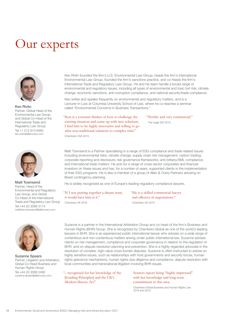# Our experts



Ken Rivlin Partner, Global Head of the Environmental Law Group, and Global Co-Head of the International Trade and Regulatory Law Group Tel +1 212 610 6460 ken.rivlin@allenovery.com



Matt Townsend Partner, Head of the Environmental and Regulatory Law Group, and Global Co-Head of the International Trade and Regulatory Law Group Tel +44 20 3088 3174 matthew.townsend@allenovery.com



Suzanne Spears Partner, Litigation and Arbitration, Global Co-Head Business and Human Rights Group Tel +44 20 3088 2490 suzanne.spears@allenovery.com

Ken Rivlin founded the firm's U.S. Environmental Law Group, heads the firm's International Environmental Law Group, founded the firm's sanctions practice, and co-heads the firm's International Trade and Regulatory Law Group. He and his team handle a broad range of environmental and regulatory issues, including all types of environmental and toxic tort risk, climate change, economic sanctions, anti-corruption compliance, and national security/trade compliance.

Ken writes and speaks frequently on environmental and regulatory matters, and is a Lecturer-in-Law at Columbia University School of Law, where he co-teaches a seminar called "Environmental Concerns in Business Transactions."

"Ken is a constant thinker of how to challenge the existing situation and come up with new solutions. I find him to be highly innovative and willing to go after non-traditional solutions to complex risks."

Chambers USA 2019

"Terrific and very commercial." The Legal 500 2019

Matt Townsend is a Partner specialising in a range of ESG compliance and trade-related issues including environmental risks; climate change; supply chain risk management; carbon trading; corporate reporting and disclosure; risk governance frameworks; anti-bribery/AML compliance; and international trade matters. He acts for a range of cross-sector corporates and financial investors on these issues and has, for a number of years, supported clients in the implementation of their ESG programs. He is also a member of a group of Allen & Overy Partners advising on Brexit contingency planning.

He is widely recognized as one of Europe's leading regulatory compliance lawyers.

#### "If I was putting together a dream team, it would have him in it."

Chambers UK 2018

"He is a skilled commercial lawyer and effective in negotiations." Chambers UK 2019

Suzanne is a partner in the International Arbitration Group and co-head of the firm's Business and Human Rights (BHR) Group. She is recognized by Chambers Global as one of the world's leading lawyers in BHR. She is an experienced public international lawyer who advises on a wide range of contentious and non-contentious matters arising under public international law. Suzanne advises clients on risk management, compliance and corporate governance in relation to the regulation of BHR, and on dispute resolution planning and prevention. She is a highly-regarded advocate in the resolution of complex, high-value cross-border disputes. Suzanne is often instructed to advise on highly sensitive issues, such as relationships with host governments and security forces, human rights grievance mechanisms, human rights due diligence and compliance, dispute resolution with local communities and transnational litigation involving BHR issues.

"...recognized for her knowledge of the [Guiding Principles] and the UK's Modern Slavery Act"

Sources report being "highly impressed" with her knowledge and long-term commitment to this area.

Chambers Global Business and Human Rights Law 2018 and 2019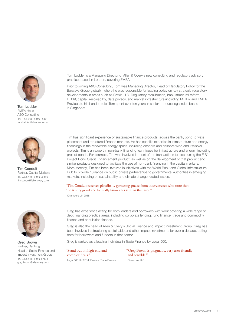

**Tom Lodder in Singapore.** EMEA Head A&O Consulting Tel +44 20 3088 2061 tom.lodder@allenovery.com



Tim Conduit Partner, Capital Markets Tel +44 20 3088 2066 tim.conduit@allenovery.com



Greg Brown Partner, Banking Head of Social Finance and Impact Investment Group Tel +44 20 3088 4760 greg.brown@allenovery.com

Tom Lodder is a Managing Director of Allen & Overy's new consulting and regulatory advisory practice, based in London, covering EMEA.

Prior to joining A&O Consulting, Tom was Managing Director, Head of Regulatory Policy for the Barclays Group globally, where he was responsible for leading policy on key strategic regulatory developments in areas such as Brexit, U.S. Regulatory recalibration, bank structural reform, IFRS9, capital, resolvability, data privacy, and market infrastructure (including MiFID2 and EMIR). Previous to his London role, Tom spent over ten years in senior in-house legal roles based

Tim has significant experience of sustainable finance products, across the bank, bond, private placement and structured finance markets. He has specific expertise in infrastructure and energy financings in the renewable energy space, including onshore and offshore wind and PV/solar projects. Tim is an expert in non-bank financing techniques for infrastructure and energy, including project bonds. For example, Tim was involved in most of the transactions to close using the EIB's Project Bond Credit Enhancement product, as well as on the development of that product and similar products designed to facilitate the use of non-bank financing in the capital markets. More recently, Tim has been involved in initiatives with the World Bank and Global Infrastructure Hub to provide guidance on public private partnerships to governmental authorities in emerging markets, including on sustainability and climate change-related issues.

#### "Tim Conduit receives plaudits… garnering praise from interviewees who note that "he is very good and he really knows his stuff in that area."

Chambers UK 2018

Greg has experience acting for both lenders and borrowers with work covering a wide range of debt financing practice areas, including corporate lending, fund finance, trade and commodity finance and acquisition finance.

Greg is also the head of Allen & Overy's Social Finance and Impact Investment Group. Greg has been involved in structuring sustainable and other impact investments for over a decade, acting both for borrowers and funders in that sector.

Greg is ranked as a leading individual in Trade Finance by Legal 500:

#### "Stand out on high-end and complex deals."

Legal 500 UK 2014: Finance: Trade Finance

"Greg Brown is pragmatic, very user-friendly and sensible." Chambers LIK

[allenovery.com](http://www.allenovery.com) 11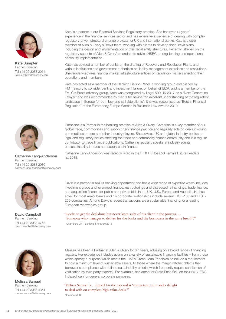

Kate Sumpter Partner, Banking Tel +44 20 3088 2054 kate.sumpter@allenovery.com

Kate is a partner in our Financial Services Regulatory practice. She has over 14 years' experience in the financial services sector and has extensive experience of dealing with complex regulatory-driven structural change projects for UK and international banks. Kate is a core member of Allen & Overy's Brexit team, working with clients to develop their Brexit plans, including the design and implementation of their legal entity structures. Recently, she led on the regulatory aspects of Allen & Overy's mandate to advise HSBC on ring-fencing and operational continuity implementation.

Kate has advised a number of banks on the drafting of Recovery and Resolution Plans, and various institutions and government authorities on liability management exercises and resolutions. She regularly advises financial market infrastructure entities on regulatory matters affecting their operations and members.

Kate has acted as a member of the Banking Liaison Panel, a working group established by HM Treasury to consider bank and investment failure, on behalf of ISDA, and is a member of the FMLC's Brexit advisory group. Kate was recognised by Legal 500 UK 2017 as a "Next Generation Lawyer" and was recommended by clients for having "an excellent understanding of the regulatory landscape in Europe for both buy and sell side clients". She was recognised as "Best in Financial Regulation" at the Euromoney Europe Women in Business Law Awards 2019.



### Partner, Banking Tel +44 20 3088 2030 catherine.lang-anderson@allenovery.com



David Campbell Partner, Banking Tel +44 20 3088 4758 david.campbell@allenovery.com Catherine is a Partner in the banking practice at Allen & Overy. Catherine is a key member of our global trade, commodities and supply chain finance practice and regularly acts on deals involving commodities traders and other industry players. She advises UK and global industry bodies on legal and regulatory issues affecting the trade and commodity finance community and is a regular contributor to trade finance publications. Catherine regularly speaks at industry events on sustainability in trade and supply chain finance.

Catherine Lang-Anderson Was recently listed in the FT & HERoes 50 Female Future Leaders<br>
Ist 2018.

David is a partner in A&O's banking department and has a wide range of expertise which includes investment grade and leveraged finance, restructurings and distressed refinancings, trade finance, and acquisition finance for public and private bids in the UK, U.S., Europe and Australia. He has acted for most major banks and his corporate relationships include several FTSE-100 and FTSE-250 companies. Among David's recent transactions are a sustainable financing for a leading European renewables group.

### "'Looks to get the deal done but never loses sight of his client in the process.'… 'Someone who manages to deliver for the banks and the borrowers in the same breath'."

Chambers UK – Banking & Finance 2016



Melissa Samuel Partner, Banking Tel +44 20 3088 4361 melissa.samuel@allenovery.com

Melissa has been a Partner at Allen & Overy for ten years, advising on a broad range of financing matters. Her experience includes acting on a variety of sustainable financing facilities – from those which specify a purpose which meets the LMA's Green Loan Principles or include a requirement to hold a minimum level of sustainable assets, to those where the margin ratchet reflects the borrower's compliance with defined sustainability criteria (which frequently require certification of verification by third party experts). For example, she acted for Stora Enso OYJ on their 2017 ESG Indexed loan for general corporate purposes.

#### "Melissa Samuel is… tipped for the top and is 'competent, calm and a delight to deal with on complex, high-value deals'."

Chambers UK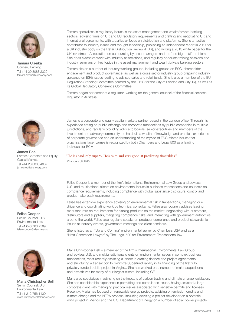

Tamara Cizeika Counsel, Banking Tel +44 20 3088 2329 tamara.cizeika@allenovery.com

Tamara specialises in regulatory issues in the asset management and wealth/private banking sectors, advising firms on UK and EU regulatory requirements and drafting and negotiating UK and international agreements, with a particular focus on distribution and platforms. She is an active contributor to industry issues and thought leadership, publishing an independent report in 2011 for a UK industry body on the Retail Distribution Review (RDR), and writing a 2013 white paper for the UK Investment Association on outsourcing by asset managers and the "too big to fail" problem. She does extensive work with industry associations, and regularly conducts training sessions and industry seminars on key topics in the asset management and wealth/private banking sectors.

Tamara sits on a number of industry working groups, including groups on ESG, shareholder engagement and product governance, as well as a cross sector industry group preparing industry guidance on ESG issues relating to advised sales and retail funds. She is also a member of the EU Regulation Standing Committee (formed by the IRSG for the City of London and CityUK), as well as its Global Regulatory Coherence Committee.

Tamara began her career at a regulator, working for the general counsel of the financial services regulator in Australia.



James Roe Partner, Corporate and Equity Capital Markets Tel +44 20 3088 4637 james.roe@allenovery.com



Felise Cooper Senior Counsel, U.S. Environmental Law Tel +1 646 763 2569 felise.cooper@allenovery.com



Maria Christopher Bell Senior Counsel, U.S. Environmental Law Tel +1 212 756 1100 maria.christopher@allenovery.com

James is a corporate and equity capital markets partner based in the London office. Through his experience acting on public offerings and corporate transactions by public companies in multiple jurisdictions, and regularly providing advice to boards, senior executives and members of the investment and advisory community, he has built a wealth of knowledge and practical experience of corporate governance and an understanding of the myriad of ESG related issues that organisations face. James is recognized by both Chambers and Legal 500 as a leading individual for ECM.

#### "He is absolutely superb. He's calm and very good at predicting timetables." Chambers UK 2020

Felise Cooper is a member of the firm's International Environmental Law Group and advises U.S. and multinational clients on environmental issues in business transactions and counsels on compliance requirements, including compliance with global substance disclosure, control and product take-back requirements.

Felise has extensive experience advising on environmental risk in transactions, managing due diligence and coordinating work by technical consultants. Felise also routinely advises leading manufacturers on requirements for placing products on the market, negotiating with customers, distributors and suppliers, mitigating compliance risks, and interacting with government authorities around the world. Felise also regularly speaks on producer compliance and product stewardship issues at industry events, government meetings and client seminars.

She is listed as an "Up and Coming" environmental lawyer by Chambers USA and as a "Next Generation Lawyer" by The Legal 500 for Environment: Transactional law.

Maria Christopher Bell is a member of the firm's International Environmental Law Group and advises U.S. and multijurisdictional clients on environmental issues in complex business transactions, most recently assisting a lender in drafting finance and project agreements and structuring a transaction to minimize Superfund liability in its financing of the first fully privately-funded public project in Virginia. She has worked on a number of major acquisitions and divestitures for many of our largest clients, including GE.

Maria also specializes in advising on the impacts of carbon trading and climate change legislation. She has considerable experience in permitting and compliance issues, having assisted a large corporate client with managing practical issues associated with sensitive permits and licenses. Recently, Maria has focused on renewable energy projects, advising on emission credits and climate change and the NEPA process, including advising a project developer on a potential wind project in Mexico and the U.S. Department of Energy on a number of solar power projects.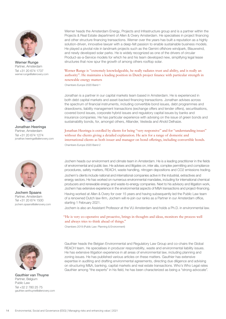

Partner, Amsterdam Tel +31 20 674 1737 werner.runge@allenovery.com



Jonathan Heeringa Partner, Amsterdam Tel +31 20 674 1274 jonathan.heeringa@allenovery.com



Jochem Spaans Partner, Amsterdam Tel +31 20 674 1500 jochem.spaans@allenovery.com

Werner heads the Amsterdam Energy, Projects and Infrastructure group and is a partner within the Projects & Real Estate department of Allen & Overy Amsterdam. He specialises in project financing and other structure financing transactions. Werner over the years has built a reputation as a highly solution-driven, innovative lawyer with a deep-felt passion to enable sustainable business models. He played a pivotal role in landmark projects such as the Gemini offshore windpark, Blauwwind, and newly developed solar parks. He is widely recognized as one of the drivers of circular Product-as-a-Service models for which he and his team developed new, simplifying legal lease Werner Runge structures that now spur the growth of among others rooftop solar.

#### Werner Runge is "extremely knowledgeable, he really radiates trust and ability, and is really an authority". He maintains a leading position in Dutch project finance with particular strength in renewable energy matters

Chambers Europe 2020 Band 1

Jonathan is a partner in our capital markets team based in Amsterdam. He is experienced in both debt capital markets and asset-backed financing transactions. Jonathan advises across the spectrum of financial instruments, including convertible bond issues, debt programmes and drawdowns, liability management transactions (exchange offers and tender offers), securitisations, covered bond issues, corporate hybrid issues and regulatory capital issues by banks and insurance companies. He has particular experience with advising on the issue of green bonds and sustainability bonds, for, amongst others, Alliander, Vesteda and Ahold Delhaize.

Jonathan Heeringa is extolled by clients for being "very responsive" and for "understanding issues" without the clients giving a detailed explanation. He acts for a range of domestic and international clients as both issuer and manager on bond offerings, including convertible bonds. Chambers Europe 2020 Band 2

Jochem heads our environment and climate team in Amsterdam. He is a leading practitioner in the fields of environmental and public law. He advises and litigates on, inter alia, complex permitting and compliance procedures, safety matters, REACH, waste handling, nitrogen depositions and CO2 emissions trading.

Jochem's clients include national and international companies active in the industrial, extractives and energy sectors. He has worked on numerous environmental mandates, including for international chemical producers and renewable energy and waste-to-energy companies. Next to his advisory and litigation work, Jochem has extensive experience in the environmental aspects of M&A transactions and project-financing.

Having worked at Allen & Overy for over 15 years and having subsequently led the Public Law team of a renowned Dutch law-firm, Jochem will re-join our ranks as a Partner in our Amsterdam office, starting 1 February 2021.

Jochem is also an Assistant Professor at the VU Amsterdam and holds a Ph.D. in environmental law.

"He is very co-operative and proactive, brings in thoughts and ideas, monitors the process well and always tries to think ahead of things."

Chambers 2019 (Public Law: Planning & Environment)



Gauthier van Thuyne Partner, Belgium Public Law Tel +32 2 780 25 75 gauthier.vanthuyne@allenovery.com

Gauthier heads the Belgian Environmental and Regulatory Law Group and co-chairs the Global REACH team. He specialises in producer responsibility, waste and environmental liability issues. He has extensive litigation experience in all areas of environmental law, including planning and zoning issues. He has published various articles on these matters. Gauthier has extensive expertise in auditing and drafting environmental agreements, directing due diligence and advising on structuring M&A, banking, capital markets and real estate transactions. Who's Who Legal rates Gauthier among "the experts" in his field, he has been characterized as being a "strong advocate".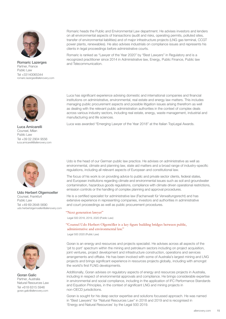

**Romaric Lazerges** and Telecommunication. Partner, France Public Law Tel +33140065344 romaric.lazerges@allenovery.com



Counsel, Milan Public Law Tel +39 02 2904 9556 luca.amicarelli@allenovery.com



Udo Herbert Olgemoeller Counsel, Frankfurt Public Law Tel +49 69 2648 5690 udo.herbertolgemoeller@allenovery.com



Goran Galic Partner, Australia Natural Resources Law Tel +618 6315 5946 goran.galic@allenovery.com

Romaric heads the Public and Environmental Law department. He advises investors and lenders on all environmental aspects of transactions (audit and risks, operating permits, polluted sites, transfer of environmental liabilities) and of major infrastructure projects (LNG gas terminal, CCGT power plants, renewables). He also advises industrials on compliance issues and represents his clients in legal proceedings before administrative courts.

Romaric is ranked as "Lawyer of the Year 2020" by "Best Lawyers" in Regulatory and is a recognized practitioner since 2014 in Administrative law, Energy, Public Finance, Public law

Luca has significant experience advising domestic and international companies and financial institutions on administrative, environmental, real estate and energy law matters. This includes managing public procurement aspects and possible litigation issues arising therefrom as well as dealing with the relevant public administration authorities in the context of complex deals across various industry sectors, including real estate, energy, waste management, industrial and manufacturing and life sciences.

Luca was awarded "Emerging Lawyer of the Year 2018" at the Italian TopLegal Awards. Luca Amicarelli

Udo is the head of our German public law practice. He advises on administrative as well as environmental, climate and planning law, state aid matters and a broad range of industry-specific regulations, including all relevant aspects of European and constitutional law.

The focus of his work is on providing advice to public and private sector clients, federal states, and European institutions regarding climate and environmental issues such as soil and groundwater contamination, hazardous goods regulations, compliance with climate driven operational restrictions, emission controls or the handling of complex planning and approval procedures.

He is a certified specialist for administrative law (Fachanwalt für Verwaltungsrecht) and has extensive experience in representing companies, investors and authorities in administrative and court proceedings as well as public procurement procedures.

#### "Next generation lawyer"

Legal 500 2018, 2019, 2020 (Public Law)

#### "Counsel Udo Herbert Olgemöller is a key figure building bridges between public, administrative and environmental law."

Legal 500 2020 (Public Law)

Goran is an energy and resources and projects specialist. He advises across all aspects of the 'pit to port' spectrum within the mining and petroleum sectors including on project acquisition, joint ventures, project development and infrastructure construction, operations and services arrangements and offtake. He has been involved with some of Australia's largest mining and LNG projects and brings significant experience in resources projects globally, including with amongst the world's first FLNG developments.

Additionally, Goran advises on regulatory aspects of energy and resources projects in Australia, including in respect of environmental approvals and compliance. He brings considerable expertise in environmental and social compliance, including in the application of IFC Performance Standards and Equation Principles, in the context of significant LNG and mining projects in non-OECD jurisdictions.

Goran is sought for his deep sector expertise and solutions focussed approach. He was named in "Best Lawyers" for "Natural Resources Law" in 2018 and 2019 and is recognised in 'Energy and Natural Resources' by the Legal 500 2019.